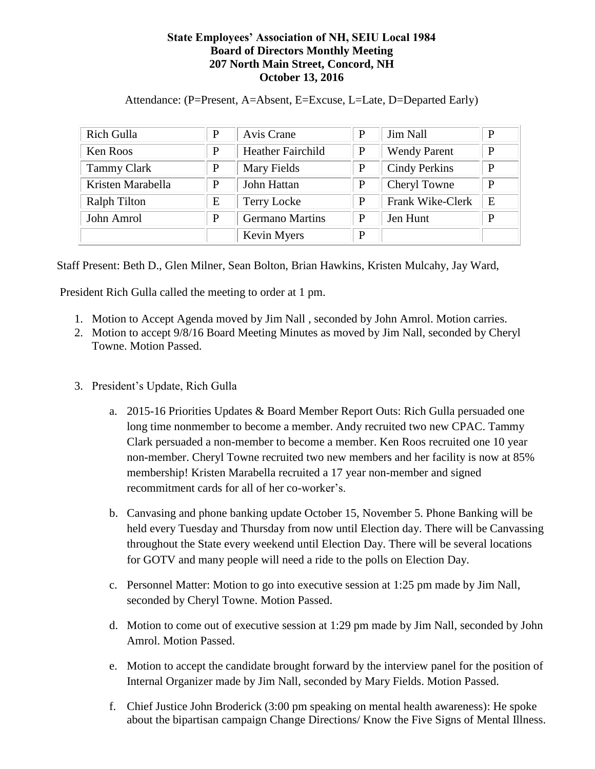## **State Employees' Association of NH, SEIU Local 1984 Board of Directors Monthly Meeting 207 North Main Street, Concord, NH October 13, 2016**

Attendance: (P=Present, A=Absent, E=Excuse, L=Late, D=Departed Early)

| Rich Gulla          | P | Avis Crane               | P | <b>Jim Nall</b>      | P |
|---------------------|---|--------------------------|---|----------------------|---|
| Ken Roos            | P | <b>Heather Fairchild</b> | P | <b>Wendy Parent</b>  | P |
| <b>Tammy Clark</b>  | P | Mary Fields              | P | <b>Cindy Perkins</b> | P |
| Kristen Marabella   | P | John Hattan              | P | Cheryl Towne         | P |
| <b>Ralph Tilton</b> | Ε | <b>Terry Locke</b>       | P | Frank Wike-Clerk     | E |
| John Amrol          | P | <b>Germano Martins</b>   | P | Jen Hunt             | P |
|                     |   | Kevin Myers              | P |                      |   |

Staff Present: Beth D., Glen Milner, Sean Bolton, Brian Hawkins, Kristen Mulcahy, Jay Ward,

President Rich Gulla called the meeting to order at 1 pm.

- 1. Motion to Accept Agenda moved by Jim Nall , seconded by John Amrol. Motion carries.
- 2. Motion to accept 9/8/16 Board Meeting Minutes as moved by Jim Nall, seconded by Cheryl Towne. Motion Passed.
- 3. President's Update, Rich Gulla
	- a. 2015-16 Priorities Updates & Board Member Report Outs: Rich Gulla persuaded one long time nonmember to become a member. Andy recruited two new CPAC. Tammy Clark persuaded a non-member to become a member. Ken Roos recruited one 10 year non-member. Cheryl Towne recruited two new members and her facility is now at 85% membership! Kristen Marabella recruited a 17 year non-member and signed recommitment cards for all of her co-worker's.
	- b. Canvasing and phone banking update October 15, November 5. Phone Banking will be held every Tuesday and Thursday from now until Election day. There will be Canvassing throughout the State every weekend until Election Day. There will be several locations for GOTV and many people will need a ride to the polls on Election Day.
	- c. Personnel Matter: Motion to go into executive session at 1:25 pm made by Jim Nall, seconded by Cheryl Towne. Motion Passed.
	- d. Motion to come out of executive session at 1:29 pm made by Jim Nall, seconded by John Amrol. Motion Passed.
	- e. Motion to accept the candidate brought forward by the interview panel for the position of Internal Organizer made by Jim Nall, seconded by Mary Fields. Motion Passed.
	- f. Chief Justice John Broderick (3:00 pm speaking on mental health awareness): He spoke about the bipartisan campaign Change Directions/ Know the Five Signs of Mental Illness.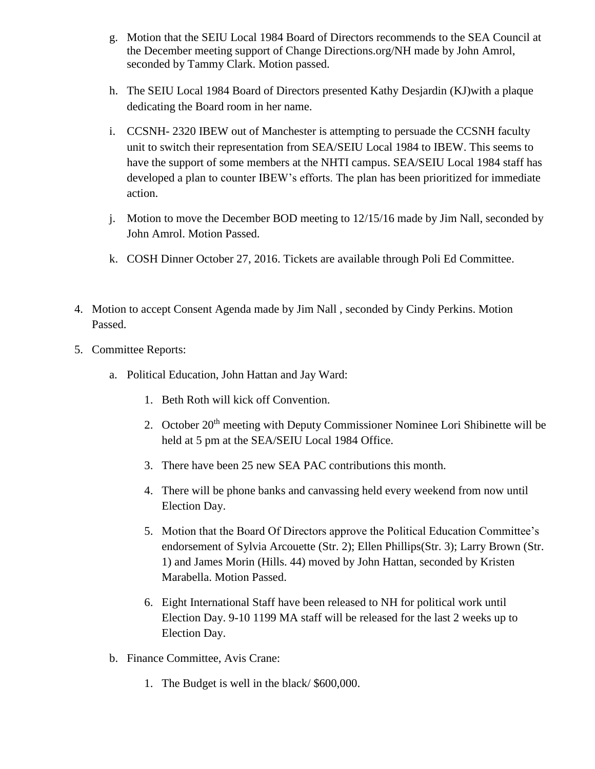- g. Motion that the SEIU Local 1984 Board of Directors recommends to the SEA Council at the December meeting support of Change Directions.org/NH made by John Amrol, seconded by Tammy Clark. Motion passed.
- h. The SEIU Local 1984 Board of Directors presented Kathy Desjardin (KJ)with a plaque dedicating the Board room in her name.
- i. CCSNH- 2320 IBEW out of Manchester is attempting to persuade the CCSNH faculty unit to switch their representation from SEA/SEIU Local 1984 to IBEW. This seems to have the support of some members at the NHTI campus. SEA/SEIU Local 1984 staff has developed a plan to counter IBEW's efforts. The plan has been prioritized for immediate action.
- j. Motion to move the December BOD meeting to 12/15/16 made by Jim Nall, seconded by John Amrol. Motion Passed.
- k. COSH Dinner October 27, 2016. Tickets are available through Poli Ed Committee.
- 4. Motion to accept Consent Agenda made by Jim Nall , seconded by Cindy Perkins. Motion Passed.
- 5. Committee Reports:
	- a. Political Education, John Hattan and Jay Ward:
		- 1. Beth Roth will kick off Convention.
		- 2. October 20<sup>th</sup> meeting with Deputy Commissioner Nominee Lori Shibinette will be held at 5 pm at the SEA/SEIU Local 1984 Office.
		- 3. There have been 25 new SEA PAC contributions this month.
		- 4. There will be phone banks and canvassing held every weekend from now until Election Day.
		- 5. Motion that the Board Of Directors approve the Political Education Committee's endorsement of Sylvia Arcouette (Str. 2); Ellen Phillips(Str. 3); Larry Brown (Str. 1) and James Morin (Hills. 44) moved by John Hattan, seconded by Kristen Marabella. Motion Passed.
		- 6. Eight International Staff have been released to NH for political work until Election Day. 9-10 1199 MA staff will be released for the last 2 weeks up to Election Day.
	- b. Finance Committee, Avis Crane:
		- 1. The Budget is well in the black/ \$600,000.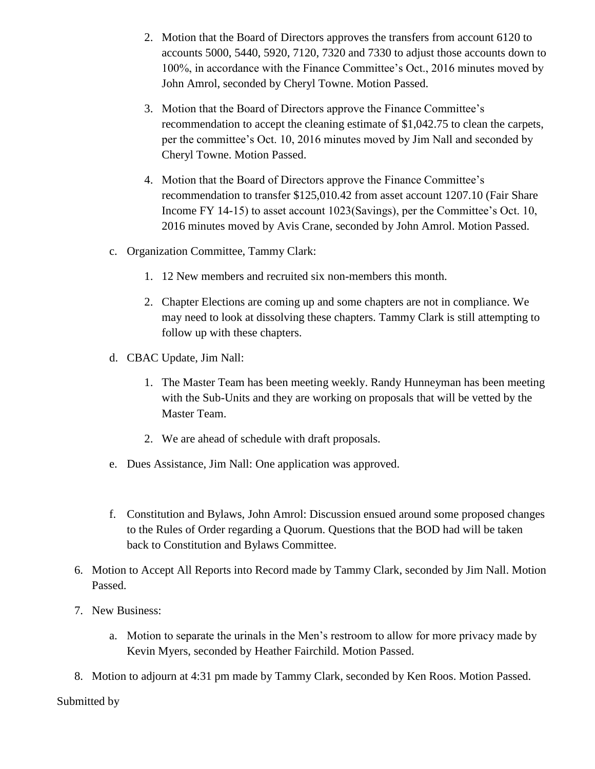- 2. Motion that the Board of Directors approves the transfers from account 6120 to accounts 5000, 5440, 5920, 7120, 7320 and 7330 to adjust those accounts down to 100%, in accordance with the Finance Committee's Oct., 2016 minutes moved by John Amrol, seconded by Cheryl Towne. Motion Passed.
- 3. Motion that the Board of Directors approve the Finance Committee's recommendation to accept the cleaning estimate of \$1,042.75 to clean the carpets, per the committee's Oct. 10, 2016 minutes moved by Jim Nall and seconded by Cheryl Towne. Motion Passed.
- 4. Motion that the Board of Directors approve the Finance Committee's recommendation to transfer \$125,010.42 from asset account 1207.10 (Fair Share Income FY 14-15) to asset account 1023(Savings), per the Committee's Oct. 10, 2016 minutes moved by Avis Crane, seconded by John Amrol. Motion Passed.
- c. Organization Committee, Tammy Clark:
	- 1. 12 New members and recruited six non-members this month.
	- 2. Chapter Elections are coming up and some chapters are not in compliance. We may need to look at dissolving these chapters. Tammy Clark is still attempting to follow up with these chapters.
- d. CBAC Update, Jim Nall:
	- 1. The Master Team has been meeting weekly. Randy Hunneyman has been meeting with the Sub-Units and they are working on proposals that will be vetted by the Master Team.
	- 2. We are ahead of schedule with draft proposals.
- e. Dues Assistance, Jim Nall: One application was approved.
- f. Constitution and Bylaws, John Amrol: Discussion ensued around some proposed changes to the Rules of Order regarding a Quorum. Questions that the BOD had will be taken back to Constitution and Bylaws Committee.
- 6. Motion to Accept All Reports into Record made by Tammy Clark, seconded by Jim Nall. Motion Passed.
- 7. New Business:
	- a. Motion to separate the urinals in the Men's restroom to allow for more privacy made by Kevin Myers, seconded by Heather Fairchild. Motion Passed.
- 8. Motion to adjourn at 4:31 pm made by Tammy Clark, seconded by Ken Roos. Motion Passed.

Submitted by